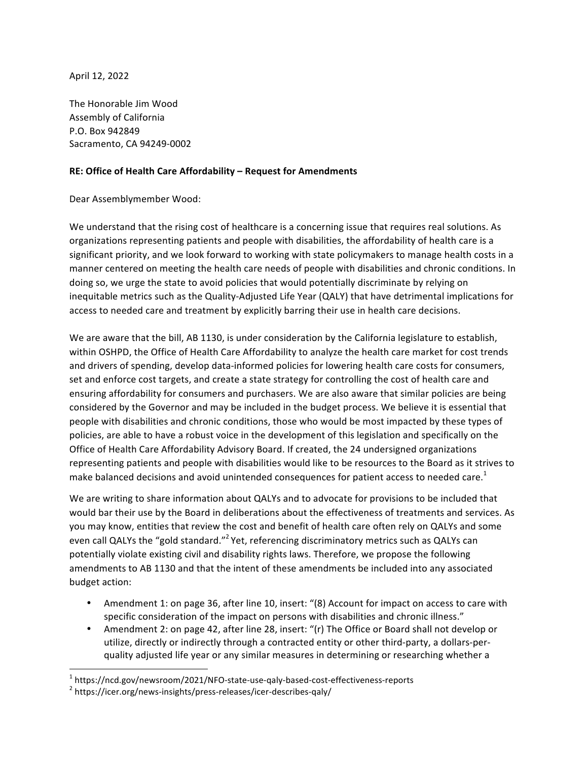April 12, 2022

The Honorable Jim Wood Assembly of California P.O. Box 942849 Sacramento, CA 94249-0002

## **RE: Office of Health Care Affordability - Request for Amendments**

Dear Assemblymember Wood:

We understand that the rising cost of healthcare is a concerning issue that requires real solutions. As organizations representing patients and people with disabilities, the affordability of health care is a significant priority, and we look forward to working with state policymakers to manage health costs in a manner centered on meeting the health care needs of people with disabilities and chronic conditions. In doing so, we urge the state to avoid policies that would potentially discriminate by relying on inequitable metrics such as the Quality-Adjusted Life Year (QALY) that have detrimental implications for access to needed care and treatment by explicitly barring their use in health care decisions.

We are aware that the bill, AB 1130, is under consideration by the California legislature to establish, within OSHPD, the Office of Health Care Affordability to analyze the health care market for cost trends and drivers of spending, develop data-informed policies for lowering health care costs for consumers, set and enforce cost targets, and create a state strategy for controlling the cost of health care and ensuring affordability for consumers and purchasers. We are also aware that similar policies are being considered by the Governor and may be included in the budget process. We believe it is essential that people with disabilities and chronic conditions, those who would be most impacted by these types of policies, are able to have a robust voice in the development of this legislation and specifically on the Office of Health Care Affordability Advisory Board. If created, the 24 undersigned organizations representing patients and people with disabilities would like to be resources to the Board as it strives to make balanced decisions and avoid unintended consequences for patient access to needed care.<sup>1</sup>

We are writing to share information about QALYs and to advocate for provisions to be included that would bar their use by the Board in deliberations about the effectiveness of treatments and services. As you may know, entities that review the cost and benefit of health care often rely on QALYs and some even call QALYs the "gold standard."<sup>2</sup> Yet, referencing discriminatory metrics such as QALYs can potentially violate existing civil and disability rights laws. Therefore, we propose the following amendments to AB 1130 and that the intent of these amendments be included into any associated budget action:

- Amendment 1: on page 36, after line 10, insert: "(8) Account for impact on access to care with specific consideration of the impact on persons with disabilities and chronic illness."
- Amendment 2: on page 42, after line 28, insert: "(r) The Office or Board shall not develop or utilize, directly or indirectly through a contracted entity or other third-party, a dollars-perquality adjusted life year or any similar measures in determining or researching whether a

 

 $1 \text{ https://ncd.gov/newsroom/2021/NFO-state-use-qaly-based-cost-effectiveness-reports}$ <br>  $2 \text{ https://icer.org/news-insights/press-releases/icer-describes-qaly/}$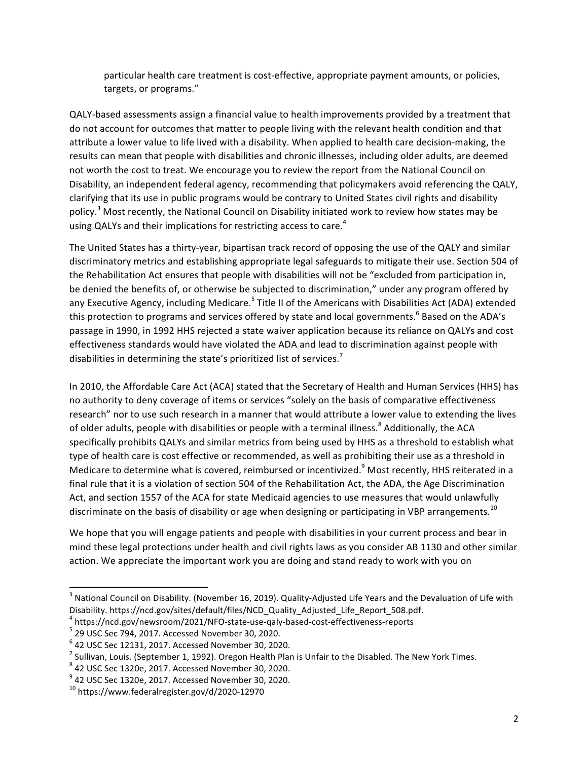particular health care treatment is cost-effective, appropriate payment amounts, or policies, targets, or programs."

QALY-based assessments assign a financial value to health improvements provided by a treatment that do not account for outcomes that matter to people living with the relevant health condition and that attribute a lower value to life lived with a disability. When applied to health care decision-making, the results can mean that people with disabilities and chronic illnesses, including older adults, are deemed not worth the cost to treat. We encourage you to review the report from the National Council on Disability, an independent federal agency, recommending that policymakers avoid referencing the QALY, clarifying that its use in public programs would be contrary to United States civil rights and disability policy.<sup>3</sup> Most recently, the National Council on Disability initiated work to review how states may be using QALYs and their implications for restricting access to care.<sup>4</sup>

The United States has a thirty-year, bipartisan track record of opposing the use of the QALY and similar discriminatory metrics and establishing appropriate legal safeguards to mitigate their use. Section 504 of the Rehabilitation Act ensures that people with disabilities will not be "excluded from participation in, be denied the benefits of, or otherwise be subjected to discrimination," under any program offered by any Executive Agency, including Medicare.<sup>5</sup> Title II of the Americans with Disabilities Act (ADA) extended this protection to programs and services offered by state and local governments.<sup>6</sup> Based on the ADA's passage in 1990, in 1992 HHS rejected a state waiver application because its reliance on QALYs and cost effectiveness standards would have violated the ADA and lead to discrimination against people with disabilities in determining the state's prioritized list of services.<sup>7</sup>

In 2010, the Affordable Care Act (ACA) stated that the Secretary of Health and Human Services (HHS) has no authority to deny coverage of items or services "solely on the basis of comparative effectiveness research" nor to use such research in a manner that would attribute a lower value to extending the lives of older adults, people with disabilities or people with a terminal illness.<sup>8</sup> Additionally, the ACA specifically prohibits QALYs and similar metrics from being used by HHS as a threshold to establish what type of health care is cost effective or recommended, as well as prohibiting their use as a threshold in Medicare to determine what is covered, reimbursed or incentivized.<sup>9</sup> Most recently, HHS reiterated in a final rule that it is a violation of section 504 of the Rehabilitation Act, the ADA, the Age Discrimination Act, and section 1557 of the ACA for state Medicaid agencies to use measures that would unlawfully discriminate on the basis of disability or age when designing or participating in VBP arrangements.<sup>10</sup>

We hope that you will engage patients and people with disabilities in your current process and bear in mind these legal protections under health and civil rights laws as you consider AB 1130 and other similar action. We appreciate the important work you are doing and stand ready to work with you on

 

 $^3$  National Council on Disability. (November 16, 2019). Quality-Adjusted Life Years and the Devaluation of Life with Disability. https://ncd.gov/sites/default/files/NCD\_Quality\_Adjusted\_Life\_Report\_508.pdf.

<sup>4</sup> https://ncd.gov/newsroom/2021/NFO-state-use-qaly-based-cost-effectiveness-reports <sup>5</sup>

 $5$  29 USC Sec 794, 2017. Accessed November 30, 2020.

 $6$  42 USC Sec 12131, 2017. Accessed November 30, 2020.

 $^7$  Sullivan, Louis. (September 1, 1992). Oregon Health Plan is Unfair to the Disabled. The New York Times.

 $\frac{8}{3}$  42 USC Sec 1320e, 2017. Accessed November 30, 2020.<br> $\frac{9}{3}$  42 USC Sec 1330e, 2017. Assessed November 30, 2030.

 $^9$  42 USC Sec 1320e, 2017. Accessed November 30, 2020.

 $10$  https://www.federalregister.gov/d/2020-12970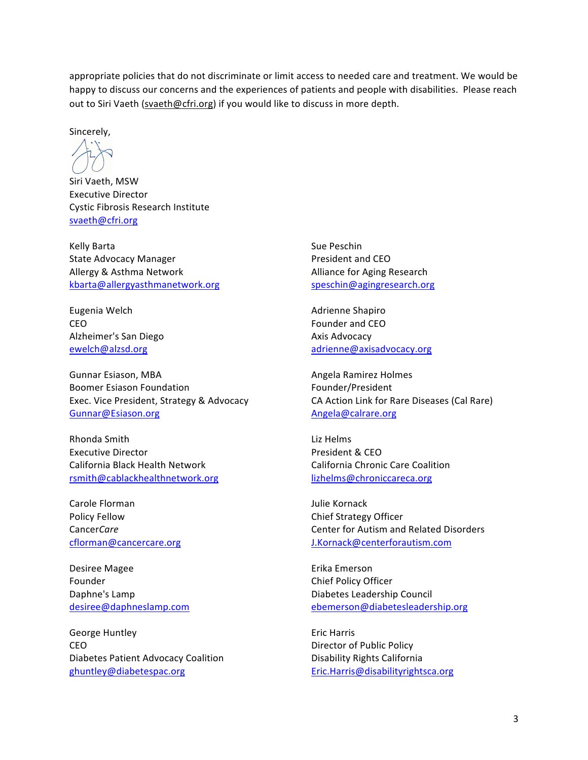appropriate policies that do not discriminate or limit access to needed care and treatment. We would be happy to discuss our concerns and the experiences of patients and people with disabilities. Please reach out to Siri Vaeth (svaeth@cfri.org) if you would like to discuss in more depth.

Sincerely,

Siri Vaeth, MSW Executive Director Cystic Fibrosis Research Institute svaeth@cfri.org

Kelly Barta **Sue Peschin** State Advocacy Manager **President** and CEO Allergy & Asthma Network **Alliance** for Aging Research kbarta@allergyasthmanetwork.org speschin@agingresearch.org

Eugenia Welch **Adrienne** Shapiro CEO **Founder** and CEO Alzheimer's San Diego **Axis** Axis Advocacy

Gunnar Esiason, MBA **Angela Ramirez Holmes** Angela Ramirez Holmes Boomer Esiason Foundation **Foundation** Founder/President Gunnar@Esiason.org Angela@calrare.org

Rhonda Smith **Executive Contract Contract Contract Contract Contract Contract Contract Contract Contract Contract Contract Contract Contract Contract Contract Contract Contract Contract Contract Contract Contract Contract** Executive Director **President & CEO** California Black Health Network California Chronic Care Coalition rsmith@cablackhealthnetwork.org lizhelms@chroniccareca.org

Carole Florman and Carole Florman and Carole Florman and Tulie Kornack Policy Fellow **Chief Strategy Officer** 

Desiree Magee **Example 20** and the Extra Emerson Founder **Chief Policy Officer** 

George Huntley **Example 20** Second Line and Second Line and Second Line and Second Line and Line and Line and Line and Line and Line and Line and Line and Line and Line and Line and Line and Line and Line and Line and Line CEO **Director** of Public Policy Diabetes Patient Advocacy Coalition **Disability Rights California** ghuntley@diabetespac.org Eric.Harris@disabilityrightsca.org

ewelch@alzsd.org adrienne@axisadvocacy.org

Exec. Vice President, Strategy & Advocacy CA Action Link for Rare Diseases (Cal Rare)

Cancer*Care* Cancer Care Center for Autism and Related Disorders cflorman@cancercare.org J.Kornack@centerforautism.com

Daphne's Lamp **Diabetes** Leadership Council desiree@daphneslamp.com ebemerson@diabetesleadership.org